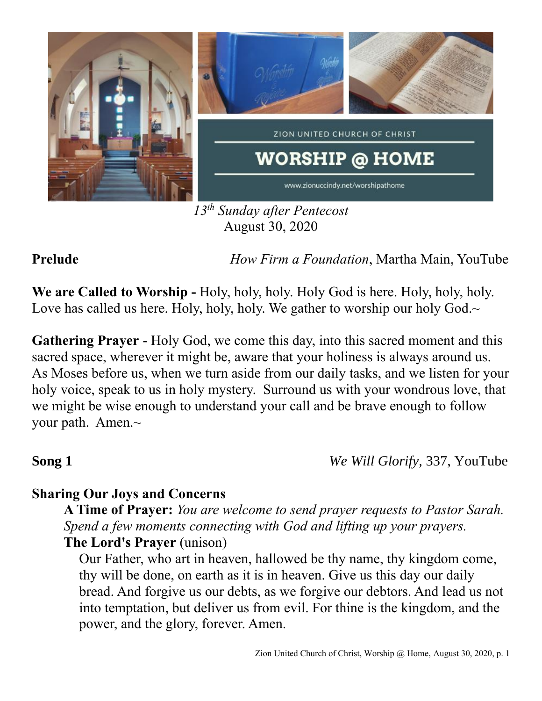

*13th Sunday after Pentecost* August 30, 2020

**Prelude** *How Firm a Foundation*, Martha Main, YouTube

**We are Called to Worship -** Holy, holy, holy. Holy God is here. Holy, holy, holy. Love has called us here. Holy, holy, holy. We gather to worship our holy God. $\sim$ 

**Gathering Prayer** - Holy God, we come this day, into this sacred moment and this sacred space, wherever it might be, aware that your holiness is always around us. As Moses before us, when we turn aside from our daily tasks, and we listen for your holy voice, speak to us in holy mystery. Surround us with your wondrous love, that we might be wise enough to understand your call and be brave enough to follow your path. Amen.~

**Song 1** *We Will Glorify,* 337, YouTube

## **Sharing Our Joys and Concerns**

**A Time of Prayer:** *You are welcome to send prayer requests to Pastor Sarah. Spend a few moments connecting with God and lifting up your prayers.* **The Lord's Prayer** (unison)

Our Father, who art in heaven, hallowed be thy name, thy kingdom come, thy will be done, on earth as it is in heaven. Give us this day our daily bread. And forgive us our debts, as we forgive our debtors. And lead us not into temptation, but deliver us from evil. For thine is the kingdom, and the power, and the glory, forever. Amen.

### Zion United Church of Christ, Worship @ Home, August 30, 2020, p. 1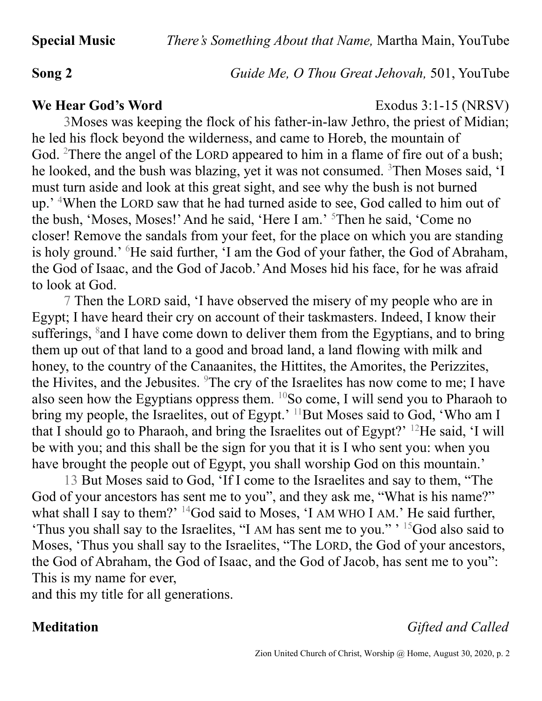**Song 2** *Guide Me, O Thou Great Jehovah,* 501, YouTube

### **We Hear God's Word** Exodus 3:1-15 (NRSV)

3Moses was keeping the flock of his father-in-law Jethro, the priest of Midian; he led his flock beyond the wilderness, and came to Horeb, the mountain of God. <sup>2</sup>There the angel of the LORD appeared to him in a flame of fire out of a bush; he looked, and the bush was blazing, yet it was not consumed. <sup>3</sup>Then Moses said, 'I must turn aside and look at this great sight, and see why the bush is not burned up.' <sup>4</sup>When the LORD saw that he had turned aside to see, God called to him out of the bush, 'Moses, Moses!' And he said, 'Here I am.' <sup>5</sup>Then he said, 'Come no closer! Remove the sandals from your feet, for the place on which you are standing is holy ground.' <sup>6</sup>He said further, 'I am the God of your father, the God of Abraham, the God of Isaac, and the God of Jacob.' And Moses hid his face, for he was afraid to look at God.

7 Then the LORD said, 'I have observed the misery of my people who are in Egypt; I have heard their cry on account of their taskmasters. Indeed, I know their sufferings, <sup>8</sup> and I have come down to deliver them from the Egyptians, and to bring them up out of that land to a good and broad land, a land flowing with milk and honey, to the country of the Canaanites, the Hittites, the Amorites, the Perizzites, the Hivites, and the Jebusites.  $9$ The cry of the Israelites has now come to me; I have also seen how the Egyptians oppress them.  $^{10}$ So come, I will send you to Pharaoh to bring my people, the Israelites, out of Egypt.'  $^{11}$ But Moses said to God, 'Who am I that I should go to Pharaoh, and bring the Israelites out of Egypt?' <sup>12</sup>He said, 'I will be with you; and this shall be the sign for you that it is I who sent you: when you have brought the people out of Egypt, you shall worship God on this mountain.'

13 But Moses said to God, 'If I come to the Israelites and say to them, "The God of your ancestors has sent me to you", and they ask me, "What is his name?" what shall I say to them?'  $14$ God said to Moses, 'I AM WHO I AM.' He said further, 'Thus you shall say to the Israelites, "I AM has sent me to you." ' <sup>15</sup>God also said to Moses, 'Thus you shall say to the Israelites, "The LORD, the God of your ancestors, the God of Abraham, the God of Isaac, and the God of Jacob, has sent me to you": This is my name for ever,

and this my title for all generations.

## **Meditation** *Gifted and Called*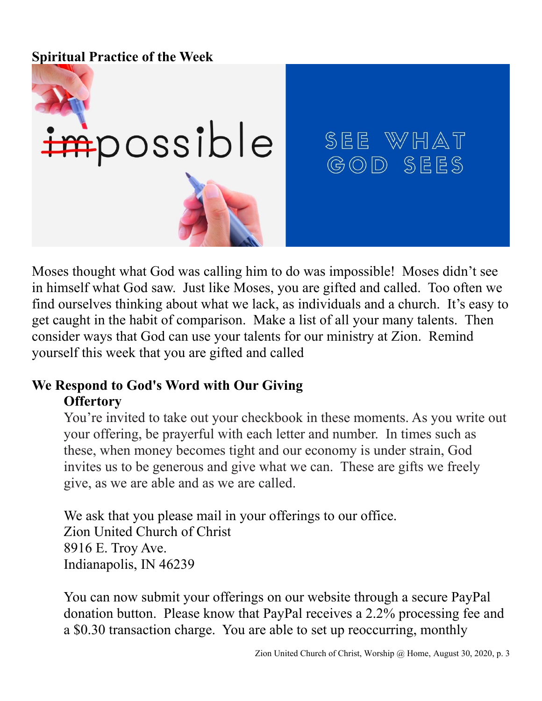### **Spiritual Practice of the Week**



# SEE WHAT GOD SEES

Moses thought what God was calling him to do was impossible! Moses didn't see in himself what God saw. Just like Moses, you are gifted and called. Too often we find ourselves thinking about what we lack, as individuals and a church. It's easy to get caught in the habit of comparison. Make a list of all your many talents. Then consider ways that God can use your talents for our ministry at Zion. Remind yourself this week that you are gifted and called

### **We Respond to God's Word with Our Giving Offertory**

You're invited to take out your checkbook in these moments. As you write out your offering, be prayerful with each letter and number. In times such as these, when money becomes tight and our economy is under strain, God invites us to be generous and give what we can. These are gifts we freely give, as we are able and as we are called.

We ask that you please mail in your offerings to our office. Zion United Church of Christ 8916 E. Troy Ave. Indianapolis, IN 46239

You can now submit your offerings on our website through a secure PayPal donation button. Please know that PayPal receives a 2.2% processing fee and a \$0.30 transaction charge. You are able to set up reoccurring, monthly